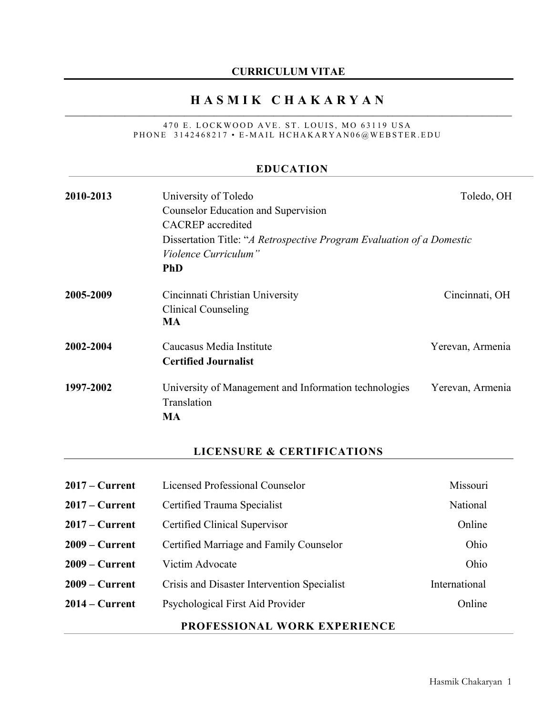## **CURRICULUM VITAE**

# **HASMIK CHAKARYAN** \_\_\_\_\_\_\_\_\_\_\_\_\_\_\_\_\_\_\_\_\_\_\_\_\_\_\_\_\_\_\_\_\_\_\_\_\_\_\_\_\_\_\_\_\_\_\_\_\_\_\_\_\_\_\_\_\_\_\_\_\_\_\_\_\_\_\_\_\_\_\_\_\_\_\_\_\_\_\_\_\_\_\_\_\_\_\_\_\_\_

#### 470 E. LOCKWOOD AVE. ST. LOUIS, MO 63119 USA PHONE 3142468217 • E-MAIL HCHAKARYAN06@WEBSTER.EDU

# **EDUCATION**

| 2010-2013 | University of Toledo<br>Counselor Education and Supervision<br><b>CACREP</b> accredited<br>Dissertation Title: "A Retrospective Program Evaluation of a Domestic<br>Violence Curriculum"<br><b>PhD</b> | Toledo, OH       |
|-----------|--------------------------------------------------------------------------------------------------------------------------------------------------------------------------------------------------------|------------------|
| 2005-2009 | Cincinnati Christian University<br><b>Clinical Counseling</b><br><b>MA</b>                                                                                                                             | Cincinnati, OH   |
| 2002-2004 | Caucasus Media Institute<br><b>Certified Journalist</b>                                                                                                                                                | Yerevan, Armenia |
| 1997-2002 | University of Management and Information technologies<br>Translation<br>MA                                                                                                                             | Yerevan, Armenia |

## **LICENSURE & CERTIFICATIONS**

| $2017 - Current$ | Licensed Professional Counselor             | Missouri        |
|------------------|---------------------------------------------|-----------------|
| $2017 -$ Current | Certified Trauma Specialist                 | <b>National</b> |
| $2017 - Current$ | Certified Clinical Supervisor               | Online          |
| $2009 - Current$ | Certified Marriage and Family Counselor     | Ohio            |
| $2009 -$ Current | Victim Advocate                             | Ohio            |
| $2009 -$ Current | Crisis and Disaster Intervention Specialist | International   |
| $2014 - Current$ | Psychological First Aid Provider            | Online          |
|                  | PROFESSIONAL WORK EXPERIENCE                |                 |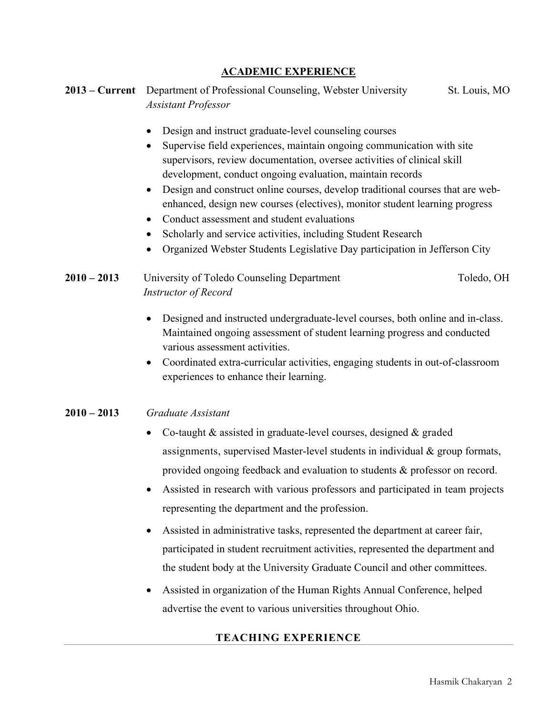# **ACADEMIC EXPERIENCE**

# 2013 – Current Department of Professional Counseling, Webster University St. Louis, MO *Assistant Professor*

- Design and instruct graduate-level counseling courses
- Supervise field experiences, maintain ongoing communication with site supervisors, review documentation, oversee activities of clinical skill development, conduct ongoing evaluation, maintain records
- Design and construct online courses, develop traditional courses that are webenhanced, design new courses (electives), monitor student learning progress
- Conduct assessment and student evaluations
- Scholarly and service activities, including Student Research
- Organized Webster Students Legislative Day participation in Jefferson City

# **2010 – 2013** University of Toledo Counseling Department Toledo, OH  *Instructor of Record*

- Designed and instructed undergraduate-level courses, both online and in-class. Maintained ongoing assessment of student learning progress and conducted various assessment activities.
- Coordinated extra-curricular activities, engaging students in out-of-classroom experiences to enhance their learning.

## **2010 – 2013** *Graduate Assistant*

- Co-taught & assisted in graduate-level courses, designed & graded assignments, supervised Master-level students in individual & group formats, provided ongoing feedback and evaluation to students & professor on record.
- Assisted in research with various professors and participated in team projects representing the department and the profession.
- Assisted in administrative tasks, represented the department at career fair, participated in student recruitment activities, represented the department and the student body at the University Graduate Council and other committees.
- Assisted in organization of the Human Rights Annual Conference, helped advertise the event to various universities throughout Ohio.

## **TEACHING EXPERIENCE**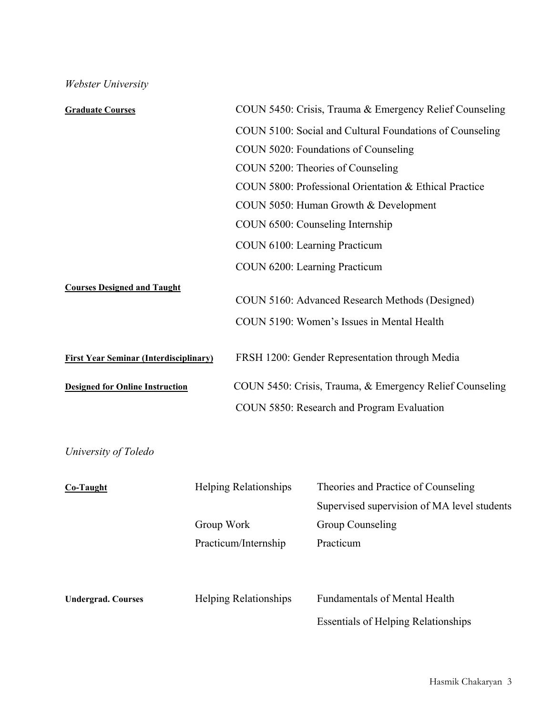*Webster University* 

| <b>Graduate Courses</b>                       |  |                                  | COUN 5450: Crisis, Trauma & Emergency Relief Counseling  |
|-----------------------------------------------|--|----------------------------------|----------------------------------------------------------|
|                                               |  |                                  | COUN 5100: Social and Cultural Foundations of Counseling |
|                                               |  |                                  | COUN 5020: Foundations of Counseling                     |
|                                               |  |                                  | COUN 5200: Theories of Counseling                        |
|                                               |  |                                  | COUN 5800: Professional Orientation & Ethical Practice   |
|                                               |  |                                  | COUN 5050: Human Growth & Development                    |
|                                               |  | COUN 6500: Counseling Internship |                                                          |
|                                               |  | COUN 6100: Learning Practicum    |                                                          |
|                                               |  | COUN 6200: Learning Practicum    |                                                          |
| <b>Courses Designed and Taught</b>            |  |                                  |                                                          |
|                                               |  |                                  | COUN 5160: Advanced Research Methods (Designed)          |
|                                               |  |                                  | COUN 5190: Women's Issues in Mental Health               |
| <b>First Year Seminar (Interdisciplinary)</b> |  |                                  | FRSH 1200: Gender Representation through Media           |
| <b>Designed for Online Instruction</b>        |  |                                  | COUN 5450: Crisis, Trauma, & Emergency Relief Counseling |
|                                               |  |                                  | COUN 5850: Research and Program Evaluation               |
|                                               |  |                                  |                                                          |
| University of Toledo                          |  |                                  |                                                          |
| <b>Co-Taught</b>                              |  | <b>Helping Relationships</b>     | Theories and Practice of Counseling                      |
|                                               |  |                                  | Supervised supervision of MA level students              |

Group Work Group Counseling Practicum/Internship Practicum

**Undergrad. Courses** Helping Relationships Fundamentals of Mental Health

Essentials of Helping Relationships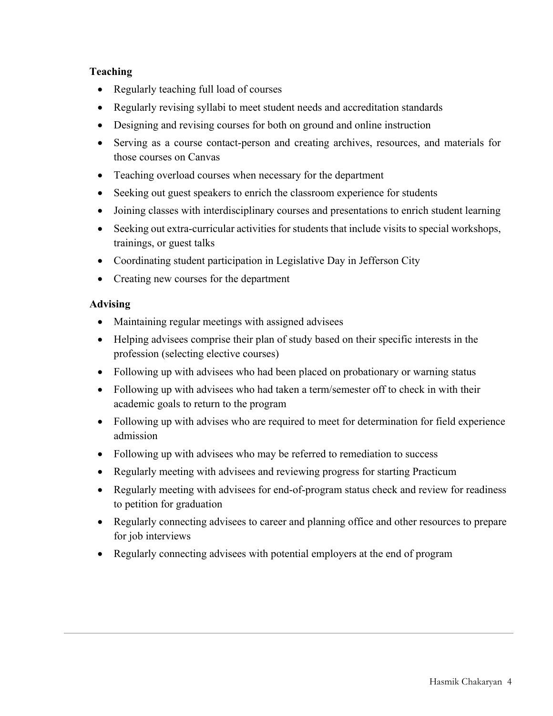# **Teaching**

- Regularly teaching full load of courses
- Regularly revising syllabi to meet student needs and accreditation standards
- Designing and revising courses for both on ground and online instruction
- Serving as a course contact-person and creating archives, resources, and materials for those courses on Canvas
- Teaching overload courses when necessary for the department
- Seeking out guest speakers to enrich the classroom experience for students
- Joining classes with interdisciplinary courses and presentations to enrich student learning
- Seeking out extra-curricular activities for students that include visits to special workshops, trainings, or guest talks
- Coordinating student participation in Legislative Day in Jefferson City
- Creating new courses for the department

# **Advising**

- Maintaining regular meetings with assigned advisees
- Helping advisees comprise their plan of study based on their specific interests in the profession (selecting elective courses)
- Following up with advisees who had been placed on probationary or warning status
- Following up with advisees who had taken a term/semester off to check in with their academic goals to return to the program
- Following up with advises who are required to meet for determination for field experience admission
- Following up with advisees who may be referred to remediation to success
- Regularly meeting with advisees and reviewing progress for starting Practicum
- Regularly meeting with advisees for end-of-program status check and review for readiness to petition for graduation
- Regularly connecting advisees to career and planning office and other resources to prepare for job interviews
- Regularly connecting advisees with potential employers at the end of program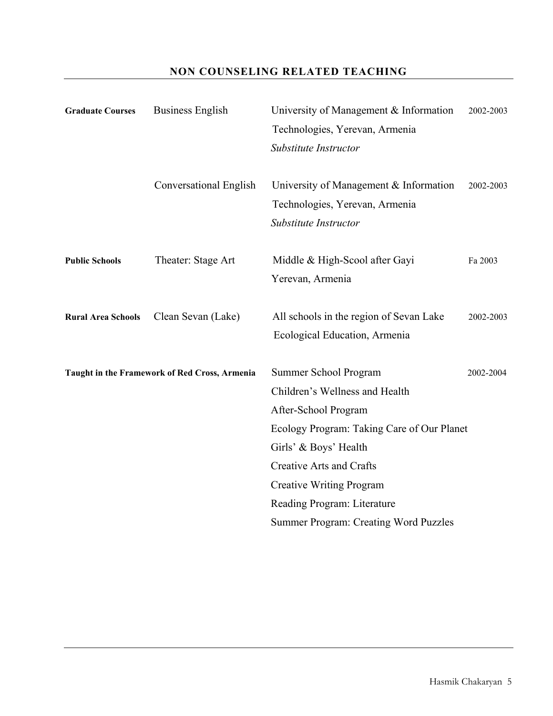# **NON COUNSELING RELATED TEACHING**

| <b>Graduate Courses</b>   | <b>Business English</b>                       | University of Management & Information<br>Technologies, Yerevan, Armenia<br>Substitute Instructor                                                                                                                                                                                                    | 2002-2003 |
|---------------------------|-----------------------------------------------|------------------------------------------------------------------------------------------------------------------------------------------------------------------------------------------------------------------------------------------------------------------------------------------------------|-----------|
|                           | <b>Conversational English</b>                 | University of Management & Information<br>Technologies, Yerevan, Armenia<br>Substitute Instructor                                                                                                                                                                                                    | 2002-2003 |
| <b>Public Schools</b>     | Theater: Stage Art                            | Middle & High-Scool after Gayi<br>Yerevan, Armenia                                                                                                                                                                                                                                                   | Fa 2003   |
| <b>Rural Area Schools</b> | Clean Sevan (Lake)                            | All schools in the region of Sevan Lake<br>Ecological Education, Armenia                                                                                                                                                                                                                             | 2002-2003 |
|                           | Taught in the Framework of Red Cross, Armenia | Summer School Program<br>Children's Wellness and Health<br>After-School Program<br>Ecology Program: Taking Care of Our Planet<br>Girls' & Boys' Health<br><b>Creative Arts and Crafts</b><br><b>Creative Writing Program</b><br>Reading Program: Literature<br>Summer Program: Creating Word Puzzles | 2002-2004 |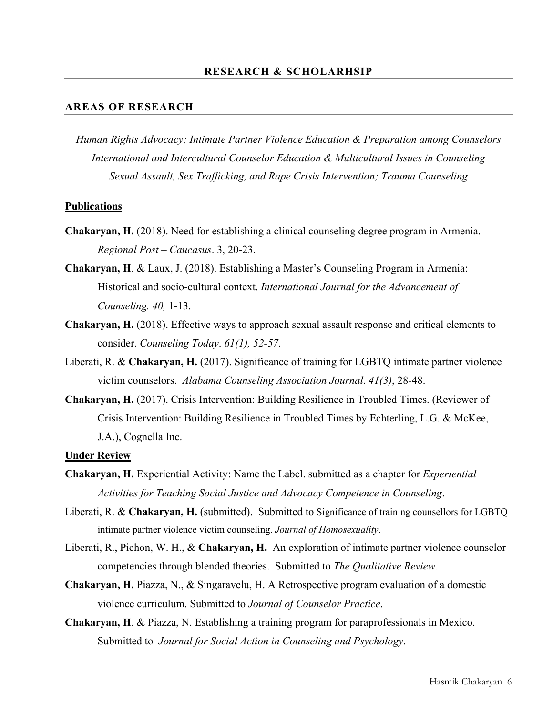#### **AREAS OF RESEARCH**

*Human Rights Advocacy; Intimate Partner Violence Education & Preparation among Counselors International and Intercultural Counselor Education & Multicultural Issues in Counseling Sexual Assault, Sex Trafficking, and Rape Crisis Intervention; Trauma Counseling* 

#### **Publications**

- **Chakaryan, H.** (2018). Need for establishing a clinical counseling degree program in Armenia. *Regional Post – Caucasus*. 3, 20-23.
- **Chakaryan, H**. & Laux, J. (2018). Establishing a Master's Counseling Program in Armenia: Historical and socio-cultural context. *International Journal for the Advancement of Counseling. 40,* 1-13.
- **Chakaryan, H.** (2018). Effective ways to approach sexual assault response and critical elements to consider. *Counseling Today*. *61(1), 52-57*.
- Liberati, R. & **Chakaryan, H.** (2017). Significance of training for LGBTQ intimate partner violence victim counselors. *Alabama Counseling Association Journal*. *41(3)*, 28-48.
- **Chakaryan, H.** (2017). Crisis Intervention: Building Resilience in Troubled Times. (Reviewer of Crisis Intervention: Building Resilience in Troubled Times by Echterling, L.G. & McKee, J.A.), Cognella Inc.

#### **Under Review**

- **Chakaryan, H.** Experiential Activity: Name the Label. submitted as a chapter for *Experiential Activities for Teaching Social Justice and Advocacy Competence in Counseling*.
- Liberati, R. & **Chakaryan, H.** (submitted). Submitted to Significance of training counsellors for LGBTQ intimate partner violence victim counseling. *Journal of Homosexuality*.
- Liberati, R., Pichon, W. H., & **Chakaryan, H.** An exploration of intimate partner violence counselor competencies through blended theories. Submitted to *The Qualitative Review.*
- **Chakaryan, H.** Piazza, N., & Singaravelu, H. A Retrospective program evaluation of a domestic violence curriculum. Submitted to *Journal of Counselor Practice*.
- **Chakaryan, H**. & Piazza, N. Establishing a training program for paraprofessionals in Mexico. Submitted to *Journal for Social Action in Counseling and Psychology*.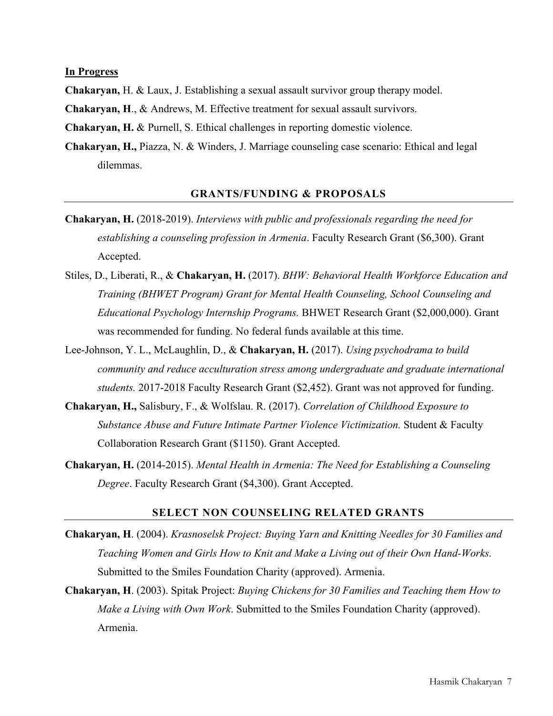**In Progress** 

- **Chakaryan,** H. & Laux, J. Establishing a sexual assault survivor group therapy model.
- **Chakaryan, H**., & Andrews, M. Effective treatment for sexual assault survivors.
- **Chakaryan, H.** & Purnell, S. Ethical challenges in reporting domestic violence.
- **Chakaryan, H.,** Piazza, N. & Winders, J. Marriage counseling case scenario: Ethical and legal dilemmas.

#### **GRANTS/FUNDING & PROPOSALS**

- **Chakaryan, H.** (2018-2019). *Interviews with public and professionals regarding the need for establishing a counseling profession in Armenia*. Faculty Research Grant (\$6,300). Grant Accepted.
- Stiles, D., Liberati, R., & **Chakaryan, H.** (2017). *BHW: Behavioral Health Workforce Education and Training (BHWET Program) Grant for Mental Health Counseling, School Counseling and Educational Psychology Internship Programs.* BHWET Research Grant (\$2,000,000). Grant was recommended for funding. No federal funds available at this time.
- Lee-Johnson, Y. L., McLaughlin, D., & **Chakaryan, H.** (2017). *Using psychodrama to build community and reduce acculturation stress among undergraduate and graduate international students.* 2017-2018 Faculty Research Grant (\$2,452). Grant was not approved for funding.
- **Chakaryan, H.,** Salisbury, F., & Wolfslau. R. (2017). *Correlation of Childhood Exposure to Substance Abuse and Future Intimate Partner Violence Victimization.* Student & Faculty Collaboration Research Grant (\$1150). Grant Accepted.
- **Chakaryan, H.** (2014-2015). *Mental Health in Armenia: The Need for Establishing a Counseling Degree*. Faculty Research Grant (\$4,300). Grant Accepted.

#### **SELECT NON COUNSELING RELATED GRANTS**

- **Chakaryan, H**. (2004). *Krasnoselsk Project: Buying Yarn and Knitting Needles for 30 Families and Teaching Women and Girls How to Knit and Make a Living out of their Own Hand-Works.* Submitted to the Smiles Foundation Charity (approved). Armenia.
- **Chakaryan, H**. (2003). Spitak Project: *Buying Chickens for 30 Families and Teaching them How to Make a Living with Own Work*. Submitted to the Smiles Foundation Charity (approved). Armenia.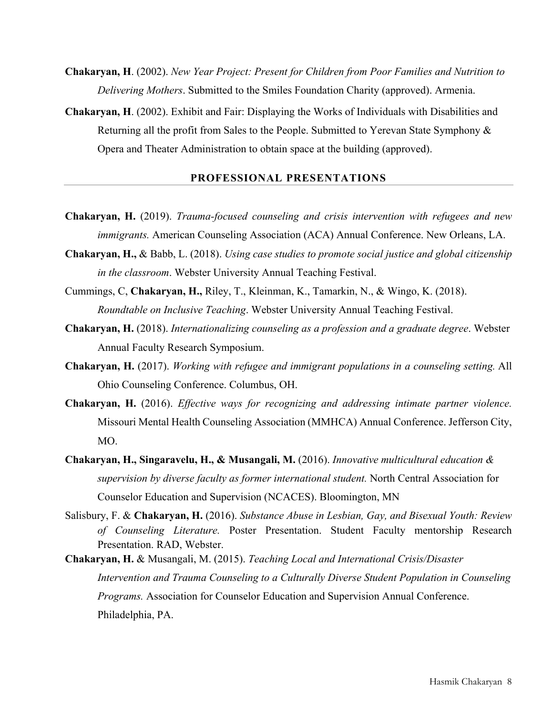**Chakaryan, H**. (2002). *New Year Project: Present for Children from Poor Families and Nutrition to Delivering Mothers*. Submitted to the Smiles Foundation Charity (approved). Armenia.

**Chakaryan, H**. (2002). Exhibit and Fair: Displaying the Works of Individuals with Disabilities and Returning all the profit from Sales to the People. Submitted to Yerevan State Symphony & Opera and Theater Administration to obtain space at the building (approved).

#### **PROFESSIONAL PRESENTATIONS**

- **Chakaryan, H.** (2019). *Trauma-focused counseling and crisis intervention with refugees and new immigrants.* American Counseling Association (ACA) Annual Conference. New Orleans, LA.
- **Chakaryan, H.,** & Babb, L. (2018). *Using case studies to promote social justice and global citizenship in the classroom*. Webster University Annual Teaching Festival.
- Cummings, C, **Chakaryan, H.,** Riley, T., Kleinman, K., Tamarkin, N., & Wingo, K. (2018). *Roundtable on Inclusive Teaching*. Webster University Annual Teaching Festival.
- **Chakaryan, H.** (2018). *Internationalizing counseling as a profession and a graduate degree*. Webster Annual Faculty Research Symposium.
- **Chakaryan, H.** (2017). *Working with refugee and immigrant populations in a counseling setting.* All Ohio Counseling Conference. Columbus, OH.
- **Chakaryan, H.** (2016). *Effective ways for recognizing and addressing intimate partner violence.*  Missouri Mental Health Counseling Association (MMHCA) Annual Conference. Jefferson City, MO.
- **Chakaryan, H., Singaravelu, H., & Musangali, M.** (2016). *Innovative multicultural education & supervision by diverse faculty as former international student.* North Central Association for Counselor Education and Supervision (NCACES). Bloomington, MN
- Salisbury, F. & **Chakaryan, H.** (2016). *Substance Abuse in Lesbian, Gay, and Bisexual Youth: Review of Counseling Literature.* Poster Presentation. Student Faculty mentorship Research Presentation. RAD, Webster.
- **Chakaryan, H.** & Musangali, M. (2015). *Teaching Local and International Crisis/Disaster Intervention and Trauma Counseling to a Culturally Diverse Student Population in Counseling Programs.* Association for Counselor Education and Supervision Annual Conference. Philadelphia, PA.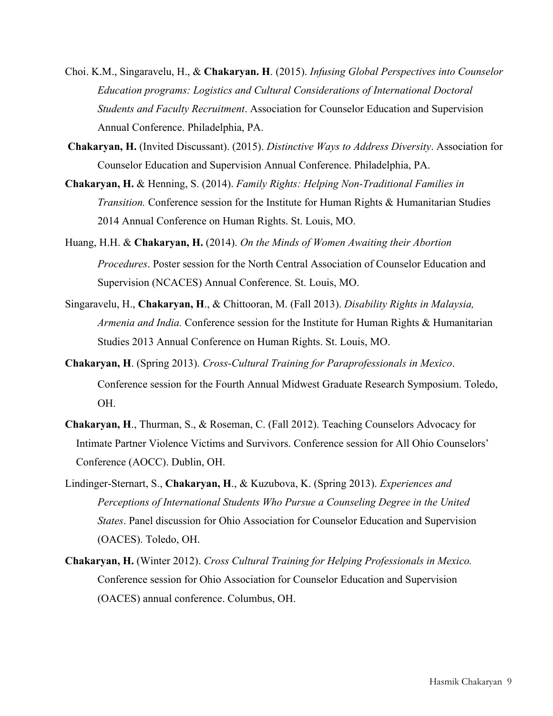- Choi. K.M., Singaravelu, H., & **Chakaryan. H**. (2015). *Infusing Global Perspectives into Counselor Education programs: Logistics and Cultural Considerations of International Doctoral Students and Faculty Recruitment*. Association for Counselor Education and Supervision Annual Conference. Philadelphia, PA.
- **Chakaryan, H.** (Invited Discussant). (2015). *Distinctive Ways to Address Diversity*. Association for Counselor Education and Supervision Annual Conference. Philadelphia, PA.
- **Chakaryan, H.** & Henning, S. (2014). *Family Rights: Helping Non-Traditional Families in Transition.* Conference session for the Institute for Human Rights & Humanitarian Studies 2014 Annual Conference on Human Rights. St. Louis, MO.
- Huang, H.H. & **Chakaryan, H.** (2014). *On the Minds of Women Awaiting their Abortion Procedures*. Poster session for the North Central Association of Counselor Education and Supervision (NCACES) Annual Conference. St. Louis, MO.
- Singaravelu, H., **Chakaryan, H**., & Chittooran, M. (Fall 2013). *Disability Rights in Malaysia, Armenia and India.* Conference session for the Institute for Human Rights & Humanitarian Studies 2013 Annual Conference on Human Rights. St. Louis, MO.
- **Chakaryan, H**. (Spring 2013). *Cross-Cultural Training for Paraprofessionals in Mexico*. Conference session for the Fourth Annual Midwest Graduate Research Symposium. Toledo, OH.
- **Chakaryan, H**., Thurman, S., & Roseman, C. (Fall 2012). Teaching Counselors Advocacy for Intimate Partner Violence Victims and Survivors. Conference session for All Ohio Counselors' Conference (AOCC). Dublin, OH.
- Lindinger-Sternart, S., **Chakaryan, H**., & Kuzubova, K. (Spring 2013). *Experiences and Perceptions of International Students Who Pursue a Counseling Degree in the United States*. Panel discussion for Ohio Association for Counselor Education and Supervision (OACES). Toledo, OH.
- **Chakaryan, H.** (Winter 2012). *Cross Cultural Training for Helping Professionals in Mexico.*  Conference session for Ohio Association for Counselor Education and Supervision (OACES) annual conference. Columbus, OH.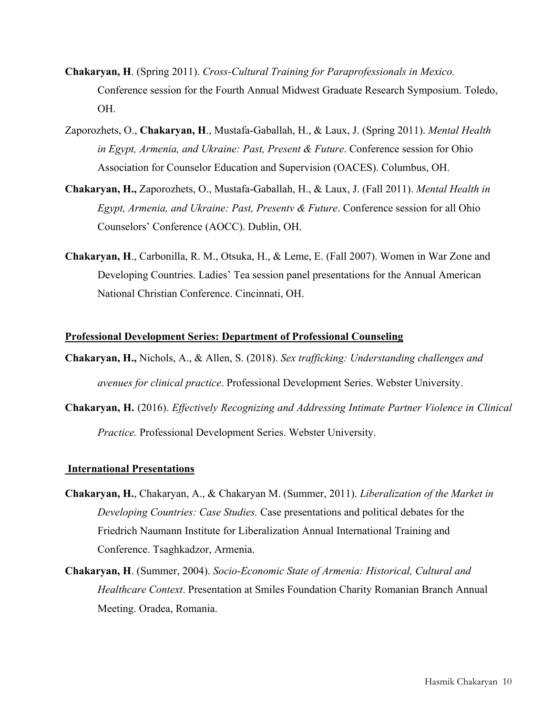- **Chakaryan, H**. (Spring 2011). *Cross-Cultural Training for Paraprofessionals in Mexico.*  Conference session for the Fourth Annual Midwest Graduate Research Symposium. Toledo, OH.
- Zaporozhets, O., **Chakaryan, H**., Mustafa-Gaballah, H., & Laux, J. (Spring 2011). *Mental Health in Egypt, Armenia, and Ukraine: Past, Present & Future*. Conference session for Ohio Association for Counselor Education and Supervision (OACES). Columbus, OH.
- **Chakaryan, H.,** Zaporozhets, O., Mustafa-Gaballah, H., & Laux, J. (Fall 2011). *Mental Health in Egypt, Armenia, and Ukraine: Past, Presentv & Future*. Conference session for all Ohio Counselors' Conference (AOCC). Dublin, OH.
- **Chakaryan, H**., Carbonilla, R. M., Otsuka, H., & Leme, E. (Fall 2007). Women in War Zone and Developing Countries. Ladies' Tea session panel presentations for the Annual American National Christian Conference. Cincinnati, OH.

#### **Professional Development Series: Department of Professional Counseling**

- **Chakaryan, H.,** Nichols, A., & Allen, S. (2018). *Sex trafficking: Understanding challenges and avenues for clinical practice*. Professional Development Series. Webster University.
- **Chakaryan, H.** (2016). *Effectively Recognizing and Addressing Intimate Partner Violence in Clinical Practice.* Professional Development Series. Webster University.

#### **International Presentations**

- **Chakaryan, H.**, Chakaryan, A., & Chakaryan M. (Summer, 2011). *Liberalization of the Market in Developing Countries: Case Studies.* Case presentations and political debates for the Friedrich Naumann Institute for Liberalization Annual International Training and Conference. Tsaghkadzor, Armenia.
- **Chakaryan, H**. (Summer, 2004). *Socio-Economic State of Armenia: Historical, Cultural and Healthcare Context*. Presentation at Smiles Foundation Charity Romanian Branch Annual Meeting. Oradea, Romania.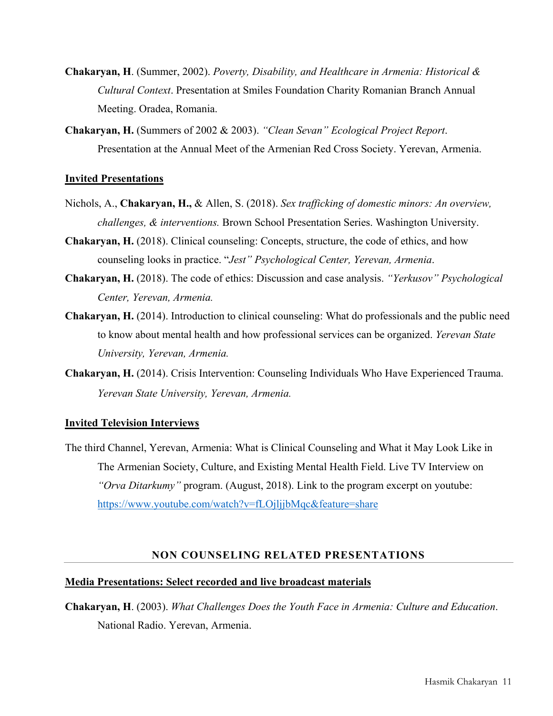- **Chakaryan, H**. (Summer, 2002). *Poverty, Disability, and Healthcare in Armenia: Historical & Cultural Context*. Presentation at Smiles Foundation Charity Romanian Branch Annual Meeting. Oradea, Romania.
- **Chakaryan, H.** (Summers of 2002 & 2003). *"Clean Sevan" Ecological Project Report*. Presentation at the Annual Meet of the Armenian Red Cross Society. Yerevan, Armenia.

#### **Invited Presentations**

- Nichols, A., **Chakaryan, H.,** & Allen, S. (2018). *Sex trafficking of domestic minors: An overview, challenges, & interventions.* Brown School Presentation Series. Washington University.
- **Chakaryan, H.** (2018). Clinical counseling: Concepts, structure, the code of ethics, and how counseling looks in practice. "*Jest" Psychological Center, Yerevan, Armenia*.
- **Chakaryan, H.** (2018). The code of ethics: Discussion and case analysis. *"Yerkusov" Psychological Center, Yerevan, Armenia.*
- **Chakaryan, H.** (2014). Introduction to clinical counseling: What do professionals and the public need to know about mental health and how professional services can be organized. *Yerevan State University, Yerevan, Armenia.*
- **Chakaryan, H.** (2014). Crisis Intervention: Counseling Individuals Who Have Experienced Trauma. *Yerevan State University, Yerevan, Armenia.*

## **Invited Television Interviews**

The third Channel, Yerevan, Armenia: What is Clinical Counseling and What it May Look Like in The Armenian Society, Culture, and Existing Mental Health Field. Live TV Interview on *"Orva Ditarkumy"* program. (August, 2018). Link to the program excerpt on youtube: https://www.youtube.com/watch?v=fLOjljjbMqc&feature=share

## **NON COUNSELING RELATED PRESENTATIONS**

#### **Media Presentations: Select recorded and live broadcast materials**

**Chakaryan, H**. (2003). *What Challenges Does the Youth Face in Armenia: Culture and Education*. National Radio. Yerevan, Armenia.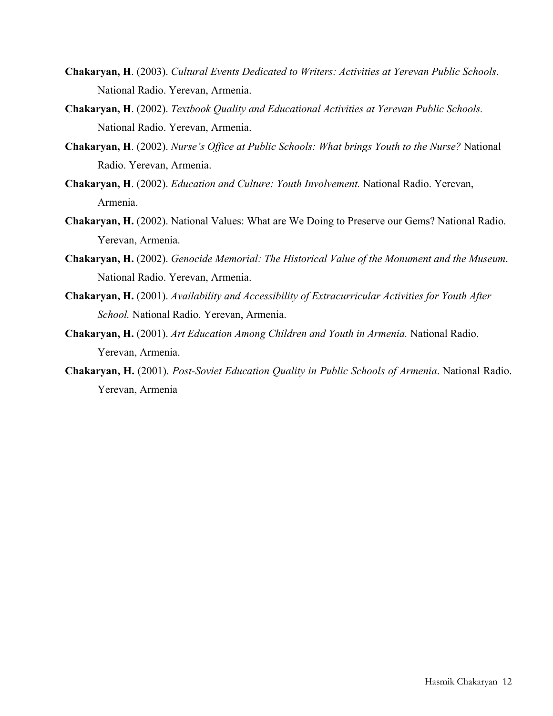- **Chakaryan, H**. (2003). *Cultural Events Dedicated to Writers: Activities at Yerevan Public Schools*. National Radio. Yerevan, Armenia.
- **Chakaryan, H**. (2002). *Textbook Quality and Educational Activities at Yerevan Public Schools.* National Radio. Yerevan, Armenia.
- **Chakaryan, H**. (2002). *Nurse's Office at Public Schools: What brings Youth to the Nurse?* National Radio. Yerevan, Armenia.
- **Chakaryan, H**. (2002). *Education and Culture: Youth Involvement.* National Radio. Yerevan, Armenia.
- **Chakaryan, H.** (2002). National Values: What are We Doing to Preserve our Gems? National Radio. Yerevan, Armenia.
- **Chakaryan, H.** (2002). *Genocide Memorial: The Historical Value of the Monument and the Museum*. National Radio. Yerevan, Armenia.
- **Chakaryan, H.** (2001). *Availability and Accessibility of Extracurricular Activities for Youth After School.* National Radio. Yerevan, Armenia.
- **Chakaryan, H.** (2001). *Art Education Among Children and Youth in Armenia.* National Radio. Yerevan, Armenia.
- **Chakaryan, H.** (2001). *Post-Soviet Education Quality in Public Schools of Armenia*. National Radio. Yerevan, Armenia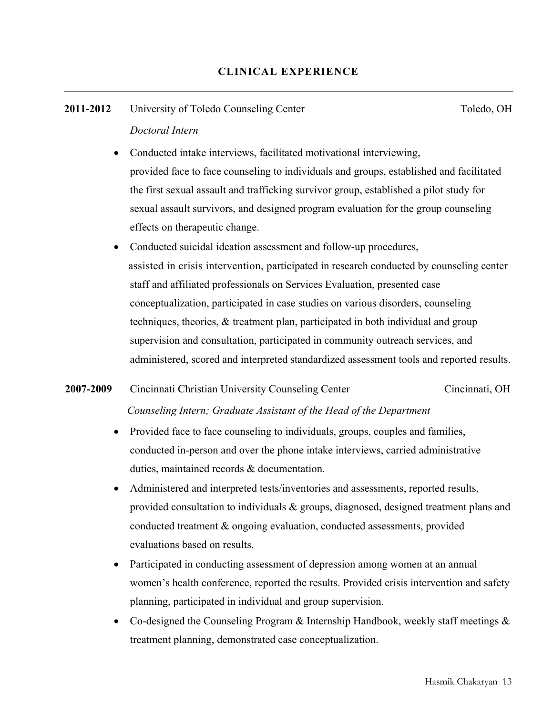## **2011-2012** University of Toledo Counseling Center Toledo, OH

# *Doctoral Intern*

- Conducted intake interviews, facilitated motivational interviewing, provided face to face counseling to individuals and groups, established and facilitated the first sexual assault and trafficking survivor group, established a pilot study for sexual assault survivors, and designed program evaluation for the group counseling effects on therapeutic change.
- Conducted suicidal ideation assessment and follow-up procedures, assisted in crisis intervention, participated in research conducted by counseling center staff and affiliated professionals on Services Evaluation, presented case conceptualization, participated in case studies on various disorders, counseling techniques, theories, & treatment plan, participated in both individual and group supervision and consultation, participated in community outreach services, and administered, scored and interpreted standardized assessment tools and reported results.

# **2007-2009** Cincinnati Christian University Counseling Center Cincinnati, OH  *Counseling Intern; Graduate Assistant of the Head of the Department*

- Provided face to face counseling to individuals, groups, couples and families, conducted in-person and over the phone intake interviews, carried administrative duties, maintained records & documentation.
- Administered and interpreted tests/inventories and assessments, reported results, provided consultation to individuals & groups, diagnosed, designed treatment plans and conducted treatment & ongoing evaluation, conducted assessments, provided evaluations based on results.
- Participated in conducting assessment of depression among women at an annual women's health conference, reported the results. Provided crisis intervention and safety planning, participated in individual and group supervision.
- Co-designed the Counseling Program & Internship Handbook, weekly staff meetings & treatment planning, demonstrated case conceptualization.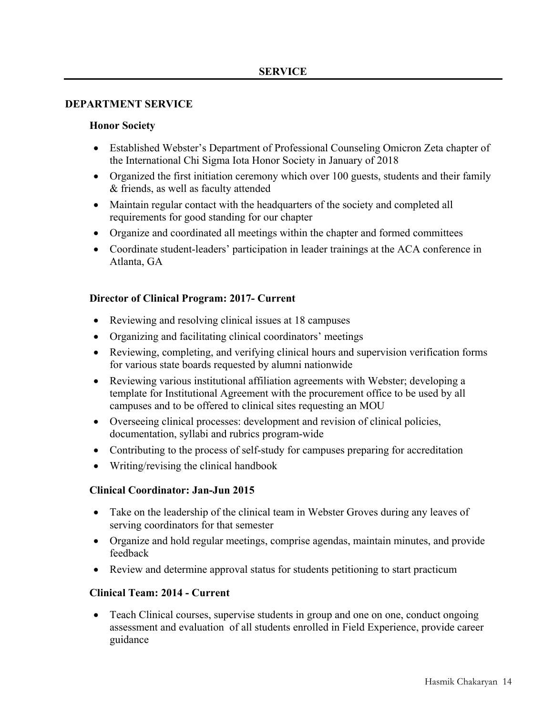#### **DEPARTMENT SERVICE**

#### **Honor Society**

- Established Webster's Department of Professional Counseling Omicron Zeta chapter of the International Chi Sigma Iota Honor Society in January of 2018
- Organized the first initiation ceremony which over 100 guests, students and their family & friends, as well as faculty attended
- Maintain regular contact with the headquarters of the society and completed all requirements for good standing for our chapter
- Organize and coordinated all meetings within the chapter and formed committees
- Coordinate student-leaders' participation in leader trainings at the ACA conference in Atlanta, GA

## **Director of Clinical Program: 2017- Current**

- Reviewing and resolving clinical issues at 18 campuses
- Organizing and facilitating clinical coordinators' meetings
- Reviewing, completing, and verifying clinical hours and supervision verification forms for various state boards requested by alumni nationwide
- Reviewing various institutional affiliation agreements with Webster; developing a template for Institutional Agreement with the procurement office to be used by all campuses and to be offered to clinical sites requesting an MOU
- Overseeing clinical processes: development and revision of clinical policies, documentation, syllabi and rubrics program-wide
- Contributing to the process of self-study for campuses preparing for accreditation
- Writing/revising the clinical handbook

## **Clinical Coordinator: Jan-Jun 2015**

- Take on the leadership of the clinical team in Webster Groves during any leaves of serving coordinators for that semester
- Organize and hold regular meetings, comprise agendas, maintain minutes, and provide feedback
- Review and determine approval status for students petitioning to start practicum

## **Clinical Team: 2014 - Current**

 Teach Clinical courses, supervise students in group and one on one, conduct ongoing assessment and evaluation of all students enrolled in Field Experience, provide career guidance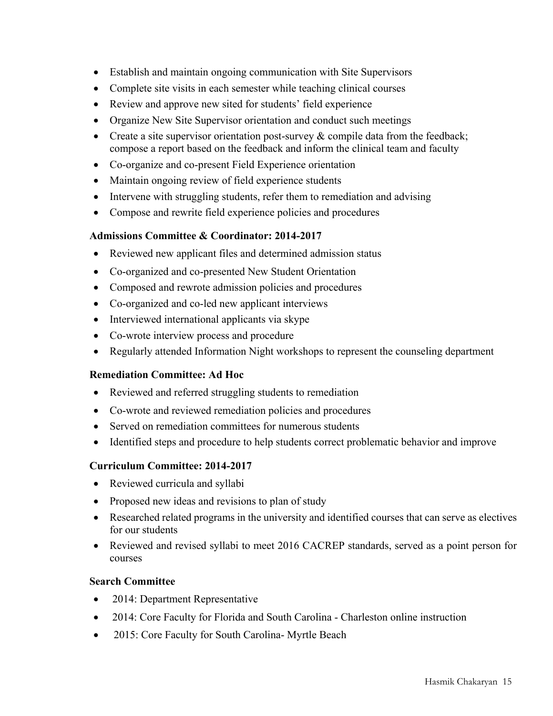- Establish and maintain ongoing communication with Site Supervisors
- Complete site visits in each semester while teaching clinical courses
- Review and approve new sited for students' field experience
- Organize New Site Supervisor orientation and conduct such meetings
- Create a site supervisor orientation post-survey  $\&$  compile data from the feedback; compose a report based on the feedback and inform the clinical team and faculty
- Co-organize and co-present Field Experience orientation
- Maintain ongoing review of field experience students
- Intervene with struggling students, refer them to remediation and advising
- Compose and rewrite field experience policies and procedures

# **Admissions Committee & Coordinator: 2014-2017**

- Reviewed new applicant files and determined admission status
- Co-organized and co-presented New Student Orientation
- Composed and rewrote admission policies and procedures
- Co-organized and co-led new applicant interviews
- Interviewed international applicants via skype
- Co-wrote interview process and procedure
- Regularly attended Information Night workshops to represent the counseling department

# **Remediation Committee: Ad Hoc**

- Reviewed and referred struggling students to remediation
- Co-wrote and reviewed remediation policies and procedures
- Served on remediation committees for numerous students
- Identified steps and procedure to help students correct problematic behavior and improve

# **Curriculum Committee: 2014-2017**

- Reviewed curricula and syllabi
- Proposed new ideas and revisions to plan of study
- Researched related programs in the university and identified courses that can serve as electives for our students
- Reviewed and revised syllabi to meet 2016 CACREP standards, served as a point person for courses

# **Search Committee**

- 2014: Department Representative
- 2014: Core Faculty for Florida and South Carolina Charleston online instruction
- 2015: Core Faculty for South Carolina- Myrtle Beach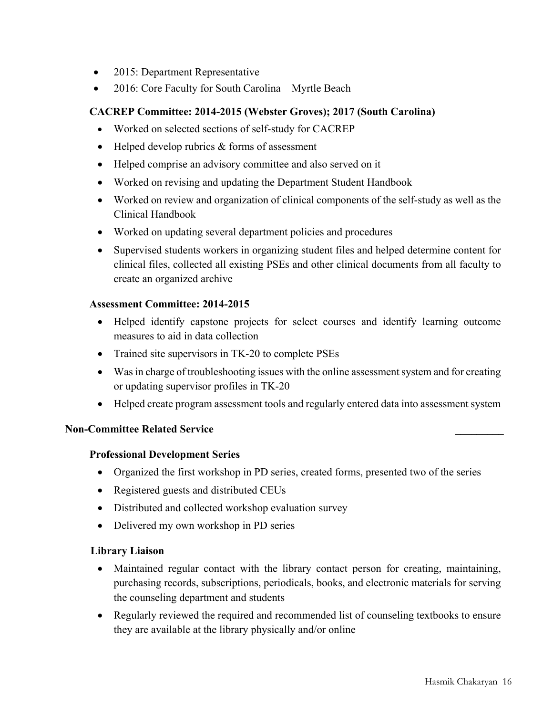- 2015: Department Representative
- 2016: Core Faculty for South Carolina Myrtle Beach

# **CACREP Committee: 2014-2015 (Webster Groves); 2017 (South Carolina)**

- Worked on selected sections of self-study for CACREP
- $\bullet$  Helped develop rubrics  $\&$  forms of assessment
- Helped comprise an advisory committee and also served on it
- Worked on revising and updating the Department Student Handbook
- Worked on review and organization of clinical components of the self-study as well as the Clinical Handbook
- Worked on updating several department policies and procedures
- Supervised students workers in organizing student files and helped determine content for clinical files, collected all existing PSEs and other clinical documents from all faculty to create an organized archive

## **Assessment Committee: 2014-2015**

- Helped identify capstone projects for select courses and identify learning outcome measures to aid in data collection
- Trained site supervisors in TK-20 to complete PSEs
- Was in charge of troubleshooting issues with the online assessment system and for creating or updating supervisor profiles in TK-20
- Helped create program assessment tools and regularly entered data into assessment system

## **Non-Committee Related Service \_\_\_\_\_\_\_\_\_**

## **Professional Development Series**

- Organized the first workshop in PD series, created forms, presented two of the series
- Registered guests and distributed CEUs
- Distributed and collected workshop evaluation survey
- Delivered my own workshop in PD series

## **Library Liaison**

- Maintained regular contact with the library contact person for creating, maintaining, purchasing records, subscriptions, periodicals, books, and electronic materials for serving the counseling department and students
- Regularly reviewed the required and recommended list of counseling textbooks to ensure they are available at the library physically and/or online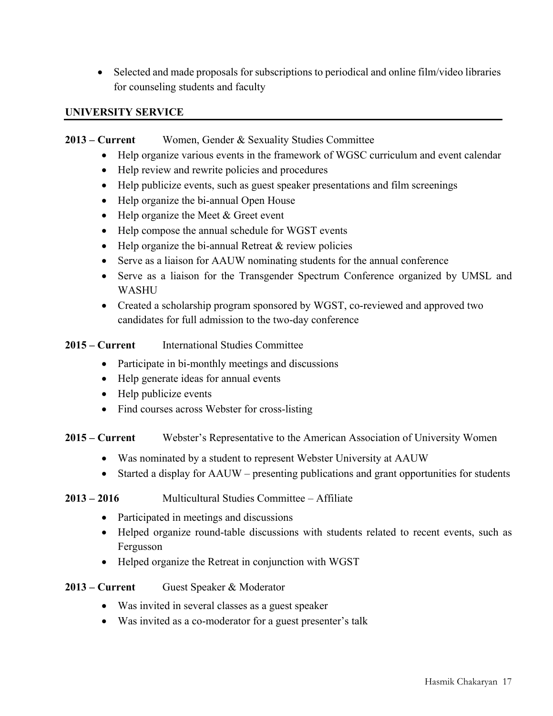Selected and made proposals for subscriptions to periodical and online film/video libraries for counseling students and faculty

# **UNIVERSITY SERVICE**

# **2013 – Current** Women, Gender & Sexuality Studies Committee

- Help organize various events in the framework of WGSC curriculum and event calendar
- Help review and rewrite policies and procedures
- Help publicize events, such as guest speaker presentations and film screenings
- Help organize the bi-annual Open House
- $\bullet$  Help organize the Meet  $\&$  Greet event
- Help compose the annual schedule for WGST events
- $\bullet$  Help organize the bi-annual Retreat & review policies
- Serve as a liaison for AAUW nominating students for the annual conference
- Serve as a liaison for the Transgender Spectrum Conference organized by UMSL and WASHU
- Created a scholarship program sponsored by WGST, co-reviewed and approved two candidates for full admission to the two-day conference
- **2015 Current** International Studies Committee
	- Participate in bi-monthly meetings and discussions
	- Help generate ideas for annual events
	- Help publicize events
	- Find courses across Webster for cross-listing
- **2015 Current** Webster's Representative to the American Association of University Women
	- Was nominated by a student to represent Webster University at AAUW
	- Started a display for AAUW presenting publications and grant opportunities for students

# **2013 – 2016** Multicultural Studies Committee – Affiliate

- Participated in meetings and discussions
- Helped organize round-table discussions with students related to recent events, such as Fergusson
- Helped organize the Retreat in conjunction with WGST

# **2013 – Current** Guest Speaker & Moderator

- Was invited in several classes as a guest speaker
- Was invited as a co-moderator for a guest presenter's talk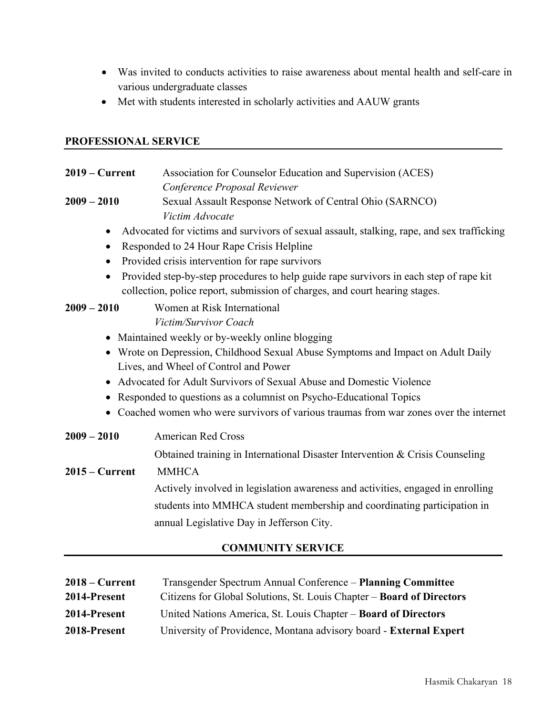- Was invited to conducts activities to raise awareness about mental health and self-care in various undergraduate classes
- Met with students interested in scholarly activities and AAUW grants

# **PROFESSIONAL SERVICE**

| $2019 - Current$                    | Association for Counselor Education and Supervision (ACES)                                                                                                                                                                                                                                                                                                          |
|-------------------------------------|---------------------------------------------------------------------------------------------------------------------------------------------------------------------------------------------------------------------------------------------------------------------------------------------------------------------------------------------------------------------|
| $2009 - 2010$                       | Conference Proposal Reviewer<br>Sexual Assault Response Network of Central Ohio (SARNCO)                                                                                                                                                                                                                                                                            |
|                                     | Victim Advocate                                                                                                                                                                                                                                                                                                                                                     |
| $\bullet$<br>$\bullet$<br>$\bullet$ | Advocated for victims and survivors of sexual assault, stalking, rape, and sex trafficking<br>Responded to 24 Hour Rape Crisis Helpline<br>Provided crisis intervention for rape survivors<br>Provided step-by-step procedures to help guide rape survivors in each step of rape kit<br>collection, police report, submission of charges, and court hearing stages. |
| $2009 - 2010$                       | Women at Risk International                                                                                                                                                                                                                                                                                                                                         |
|                                     | Victim/Survivor Coach                                                                                                                                                                                                                                                                                                                                               |
|                                     | • Maintained weekly or by-weekly online blogging                                                                                                                                                                                                                                                                                                                    |
|                                     | • Wrote on Depression, Childhood Sexual Abuse Symptoms and Impact on Adult Daily<br>Lives, and Wheel of Control and Power                                                                                                                                                                                                                                           |
|                                     | • Advocated for Adult Survivors of Sexual Abuse and Domestic Violence                                                                                                                                                                                                                                                                                               |
|                                     | • Responded to questions as a columnist on Psycho-Educational Topics                                                                                                                                                                                                                                                                                                |
|                                     | • Coached women who were survivors of various traumas from war zones over the internet                                                                                                                                                                                                                                                                              |
| $2009 - 2010$                       | <b>American Red Cross</b>                                                                                                                                                                                                                                                                                                                                           |
|                                     | Obtained training in International Disaster Intervention & Crisis Counseling                                                                                                                                                                                                                                                                                        |
| $2015 - Current$                    | <b>MMHCA</b>                                                                                                                                                                                                                                                                                                                                                        |
|                                     | Actively involved in legislation awareness and activities, engaged in enrolling                                                                                                                                                                                                                                                                                     |
|                                     | students into MMHCA student membership and coordinating participation in                                                                                                                                                                                                                                                                                            |
|                                     | annual Legislative Day in Jefferson City.                                                                                                                                                                                                                                                                                                                           |
|                                     | <b>COMMUNITY SERVICE</b>                                                                                                                                                                                                                                                                                                                                            |

| $2018 - Current$ | Transgender Spectrum Annual Conference - Planning Committee                  |
|------------------|------------------------------------------------------------------------------|
| 2014-Present     | Citizens for Global Solutions, St. Louis Chapter – <b>Board of Directors</b> |
| 2014-Present     | United Nations America, St. Louis Chapter – Board of Directors               |
| 2018-Present     | University of Providence, Montana advisory board - External Expert           |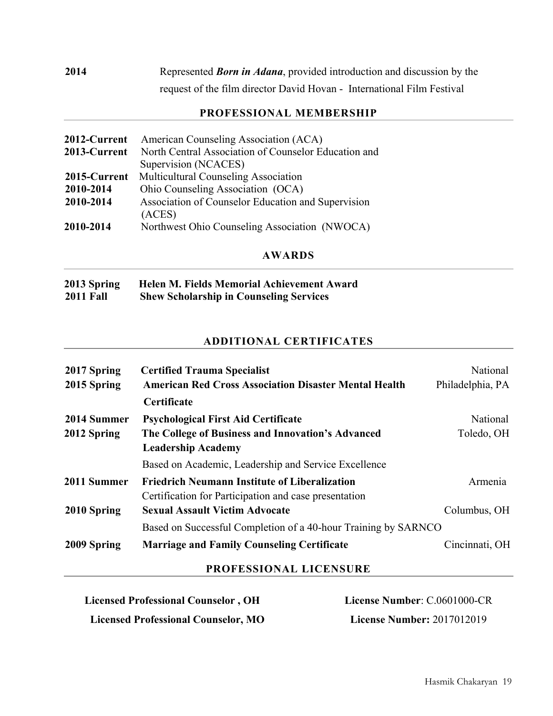**2014** Represented *Born in Adana*, provided introduction and discussion by the request of the film director David Hovan - International Film Festival

# **PROFESSIONAL MEMBERSHIP**

| 2012-Current | American Counseling Association (ACA)                        |
|--------------|--------------------------------------------------------------|
| 2013-Current | North Central Association of Counselor Education and         |
|              | Supervision (NCACES)                                         |
| 2015-Current | Multicultural Counseling Association                         |
| 2010-2014    | Ohio Counseling Association (OCA)                            |
| 2010-2014    | Association of Counselor Education and Supervision<br>(ACES) |
| 2010-2014    | Northwest Ohio Counseling Association (NWOCA)                |

# **AWARDS**

| 2013 Spring      | Helen M. Fields Memorial Achievement Award     |
|------------------|------------------------------------------------|
| <b>2011 Fall</b> | <b>Shew Scholarship in Counseling Services</b> |

## **ADDITIONAL CERTIFICATES**

| 2017 Spring<br>2015 Spring | <b>Certified Trauma Specialist</b><br><b>American Red Cross Association Disaster Mental Health</b> | National<br>Philadelphia, PA |
|----------------------------|----------------------------------------------------------------------------------------------------|------------------------------|
|                            | Certificate                                                                                        |                              |
| 2014 Summer                | <b>Psychological First Aid Certificate</b>                                                         | National                     |
| 2012 Spring                | The College of Business and Innovation's Advanced                                                  | Toledo, OH                   |
|                            | <b>Leadership Academy</b>                                                                          |                              |
|                            | Based on Academic, Leadership and Service Excellence                                               |                              |
| 2011 Summer                | <b>Friedrich Neumann Institute of Liberalization</b>                                               | Armenia                      |
|                            | Certification for Participation and case presentation                                              |                              |
| 2010 Spring                | <b>Sexual Assault Victim Advocate</b>                                                              | Columbus, OH                 |
|                            | Based on Successful Completion of a 40-hour Training by SARNCO                                     |                              |
| 2009 Spring                | <b>Marriage and Family Counseling Certificate</b>                                                  | Cincinnati, OH               |

# **PROFESSIONAL LICENSURE**

| <b>Licensed Professional Counselor, OH</b> | License Number: C.0601000-CR      |
|--------------------------------------------|-----------------------------------|
| <b>Licensed Professional Counselor, MO</b> | <b>License Number: 2017012019</b> |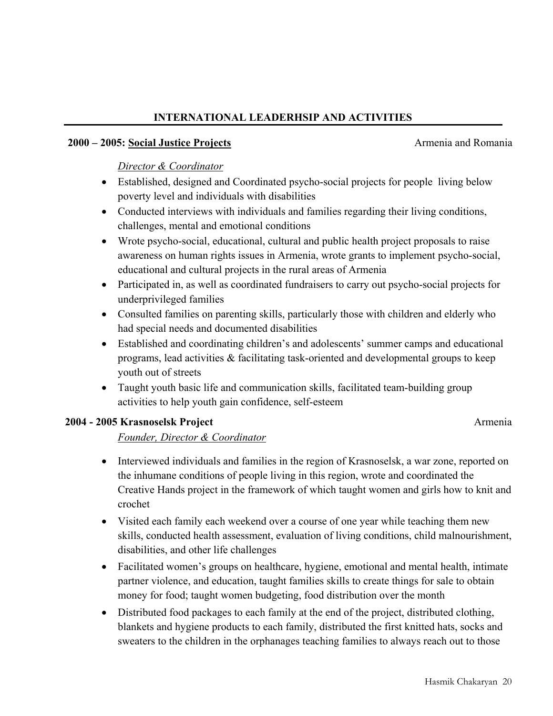# **INTERNATIONAL LEADERHSIP AND ACTIVITIES**

## **2000 – 2005: Social Justice Projects** Armenia and Romania

## *Director & Coordinator*

- Established, designed and Coordinated psycho-social projects for people living below poverty level and individuals with disabilities
- Conducted interviews with individuals and families regarding their living conditions, challenges, mental and emotional conditions
- Wrote psycho-social, educational, cultural and public health project proposals to raise awareness on human rights issues in Armenia, wrote grants to implement psycho-social, educational and cultural projects in the rural areas of Armenia
- Participated in, as well as coordinated fundraisers to carry out psycho-social projects for underprivileged families
- Consulted families on parenting skills, particularly those with children and elderly who had special needs and documented disabilities
- Established and coordinating children's and adolescents' summer camps and educational programs, lead activities & facilitating task-oriented and developmental groups to keep youth out of streets
- Taught youth basic life and communication skills, facilitated team-building group activities to help youth gain confidence, self-esteem

# **2004 - 2005 Krasnoselsk Project** Armenia

# *Founder, Director & Coordinator*

- Interviewed individuals and families in the region of Krasnoselsk, a war zone, reported on the inhumane conditions of people living in this region, wrote and coordinated the Creative Hands project in the framework of which taught women and girls how to knit and crochet
- Visited each family each weekend over a course of one year while teaching them new skills, conducted health assessment, evaluation of living conditions, child malnourishment, disabilities, and other life challenges
- Facilitated women's groups on healthcare, hygiene, emotional and mental health, intimate partner violence, and education, taught families skills to create things for sale to obtain money for food; taught women budgeting, food distribution over the month
- Distributed food packages to each family at the end of the project, distributed clothing, blankets and hygiene products to each family, distributed the first knitted hats, socks and sweaters to the children in the orphanages teaching families to always reach out to those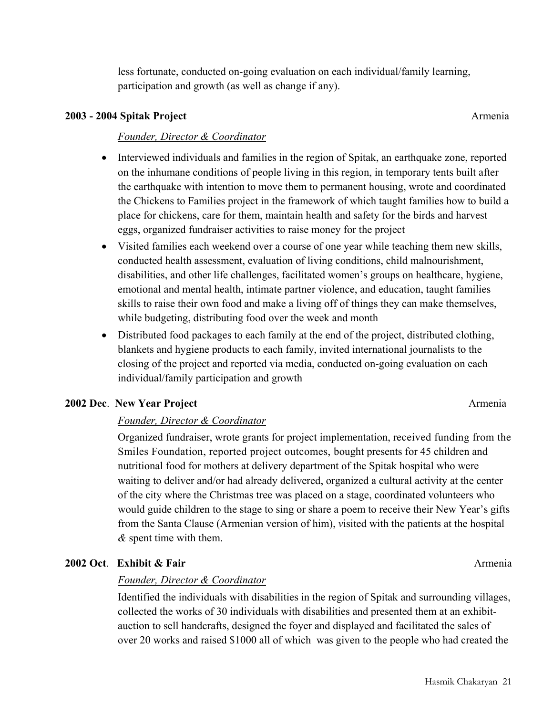less fortunate, conducted on-going evaluation on each individual/family learning, participation and growth (as well as change if any).

#### **2003 - 2004 Spitak Project** Armenia

## *Founder, Director & Coordinator*

- Interviewed individuals and families in the region of Spitak, an earthquake zone, reported on the inhumane conditions of people living in this region, in temporary tents built after the earthquake with intention to move them to permanent housing, wrote and coordinated the Chickens to Families project in the framework of which taught families how to build a place for chickens, care for them, maintain health and safety for the birds and harvest eggs, organized fundraiser activities to raise money for the project
- Visited families each weekend over a course of one year while teaching them new skills, conducted health assessment, evaluation of living conditions, child malnourishment, disabilities, and other life challenges, facilitated women's groups on healthcare, hygiene, emotional and mental health, intimate partner violence, and education, taught families skills to raise their own food and make a living off of things they can make themselves, while budgeting, distributing food over the week and month
- Distributed food packages to each family at the end of the project, distributed clothing, blankets and hygiene products to each family, invited international journalists to the closing of the project and reported via media, conducted on-going evaluation on each individual/family participation and growth

## **2002 Dec**. **New Year Project** Armenia

# *Founder, Director & Coordinator*

Organized fundraiser, wrote grants for project implementation, received funding from the Smiles Foundation, reported project outcomes, bought presents for 45 children and nutritional food for mothers at delivery department of the Spitak hospital who were waiting to deliver and/or had already delivered, organized a cultural activity at the center of the city where the Christmas tree was placed on a stage, coordinated volunteers who would guide children to the stage to sing or share a poem to receive their New Year's gifts from the Santa Clause (Armenian version of him), *v*isited with the patients at the hospital *&* spent time with them.

## **2002 Oct**. **Exhibit & Fair** Armenia

#### *Founder, Director & Coordinator*

Identified the individuals with disabilities in the region of Spitak and surrounding villages, collected the works of 30 individuals with disabilities and presented them at an exhibitauction to sell handcrafts, designed the foyer and displayed and facilitated the sales of over 20 works and raised \$1000 all of which was given to the people who had created the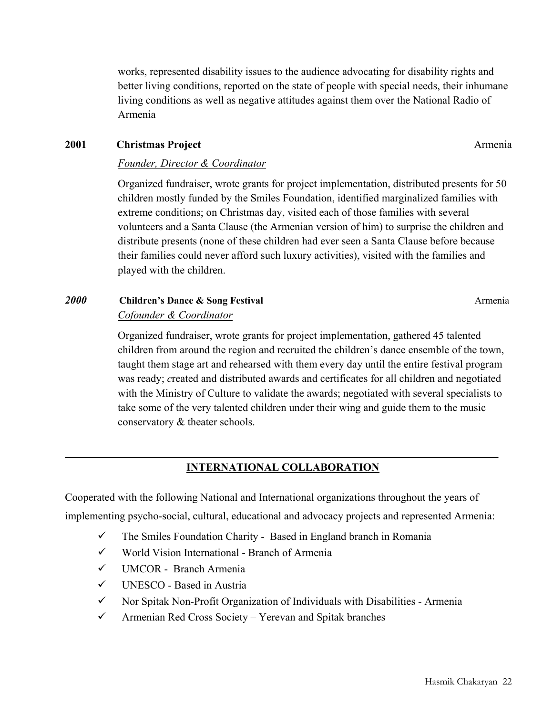works, represented disability issues to the audience advocating for disability rights and better living conditions, reported on the state of people with special needs, their inhumane living conditions as well as negative attitudes against them over the National Radio of Armenia

## **2001 Christmas Project** Armenia

## *Founder, Director & Coordinator*

Organized fundraiser, wrote grants for project implementation, distributed presents for 50 children mostly funded by the Smiles Foundation, identified marginalized families with extreme conditions; on Christmas day, visited each of those families with several volunteers and a Santa Clause (the Armenian version of him) to surprise the children and distribute presents (none of these children had ever seen a Santa Clause before because their families could never afford such luxury activities), visited with the families and played with the children.

# *2000* **Children's Dance & Song Festival** Armenia

*Cofounder & Coordinator* 

Organized fundraiser, wrote grants for project implementation, gathered 45 talented children from around the region and recruited the children's dance ensemble of the town, taught them stage art and rehearsed with them every day until the entire festival program was ready; *c*reated and distributed awards and certificates for all children and negotiated with the Ministry of Culture to validate the awards; negotiated with several specialists to take some of the very talented children under their wing and guide them to the music conservatory & theater schools.

# **\_\_\_\_\_\_\_\_\_\_\_\_\_\_\_\_\_\_\_\_\_\_\_\_\_\_\_\_\_\_\_\_\_\_\_\_\_\_\_\_\_\_\_\_\_\_\_\_\_\_\_\_\_\_\_\_\_\_\_\_\_\_\_\_\_\_\_\_\_\_\_\_\_\_\_\_\_\_\_\_ INTERNATIONAL COLLABORATION**

Cooperated with the following National and International organizations throughout the years of implementing psycho-social, cultural, educational and advocacy projects and represented Armenia:

- $\checkmark$  The Smiles Foundation Charity Based in England branch in Romania
- $\checkmark$  World Vision International Branch of Armenia
- UMCOR Branch Armenia
- $\checkmark$  UNESCO Based in Austria
- $\checkmark$  Nor Spitak Non-Profit Organization of Individuals with Disabilities Armenia
- $\checkmark$  Armenian Red Cross Society Yerevan and Spitak branches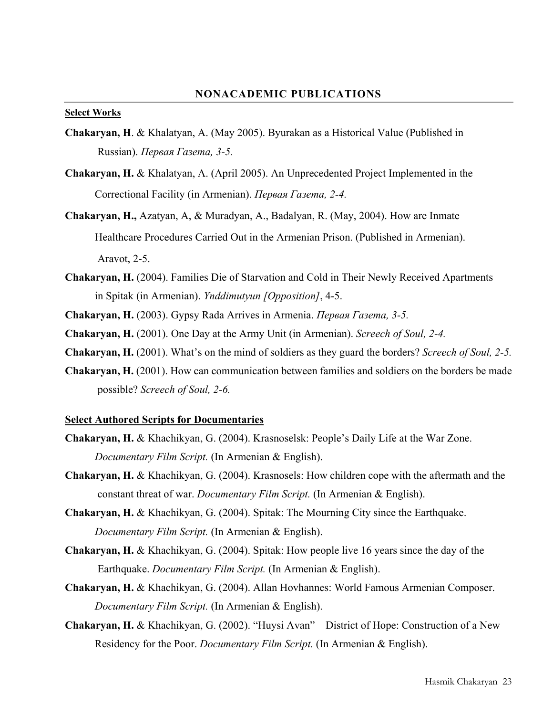#### **Select Works**

- **Chakaryan, H**. & Khalatyan, A. (May 2005). Byurakan as a Historical Value (Published in Russian). *Первая Газета, 3-5.*
- **Chakaryan, H.** & Khalatyan, A. (April 2005). An Unprecedented Project Implemented in the Correctional Facility (in Armenian). *Первая Газета, 2-4.*
- **Chakaryan, H.,** Azatyan, A, & Muradyan, A., Badalyan, R. (May, 2004). How are Inmate Healthcare Procedures Carried Out in the Armenian Prison. (Published in Armenian). Aravot, 2-5.
- **Chakaryan, H.** (2004). Families Die of Starvation and Cold in Their Newly Received Apartments in Spitak (in Armenian). *Ynddimutyun [Opposition]*, 4-5.
- **Chakaryan, H.** (2003). Gypsy Rada Arrives in Armenia. *Первая Газета, 3-5.*
- **Chakaryan, H.** (2001). One Day at the Army Unit (in Armenian). *Screech of Soul, 2-4.*
- **Chakaryan, H.** (2001). What's on the mind of soldiers as they guard the borders? *Screech of Soul, 2-5.*
- **Chakaryan, H.** (2001). How can communication between families and soldiers on the borders be made possible? *Screech of Soul, 2-6.*

#### **Select Authored Scripts for Documentaries**

- **Chakaryan, H.** & Khachikyan, G. (2004). Krasnoselsk: People's Daily Life at the War Zone. *Documentary Film Script.* (In Armenian & English).
- **Chakaryan, H.** & Khachikyan, G. (2004). Krasnosels: How children cope with the aftermath and the constant threat of war. *Documentary Film Script.* (In Armenian & English).
- **Chakaryan, H.** & Khachikyan, G. (2004). Spitak: The Mourning City since the Earthquake. *Documentary Film Script.* (In Armenian & English).
- **Chakaryan, H.** & Khachikyan, G. (2004). Spitak: How people live 16 years since the day of the Earthquake. *Documentary Film Script.* (In Armenian & English).
- **Chakaryan, H.** & Khachikyan, G. (2004). Allan Hovhannes: World Famous Armenian Composer.  *Documentary Film Script.* (In Armenian & English).
- **Chakaryan, H.** & Khachikyan, G. (2002). "Huysi Avan" District of Hope: Construction of a New Residency for the Poor. *Documentary Film Script.* (In Armenian & English).